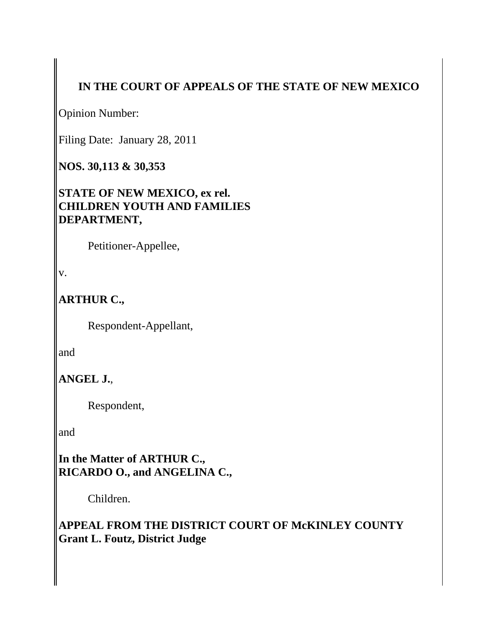# **IN THE COURT OF APPEALS OF THE STATE OF NEW MEXICO**

Opinion Number:

Filing Date: January 28, 2011

**NOS. 30,113 & 30,353**

**STATE OF NEW MEXICO, ex rel. CHILDREN YOUTH AND FAMILIES DEPARTMENT,**

Petitioner-Appellee,

v.

**ARTHUR C.,**

Respondent-Appellant,

and

**ANGEL J.**,

Respondent,

and

**In the Matter of ARTHUR C., RICARDO O., and ANGELINA C.,**

Children.

**APPEAL FROM THE DISTRICT COURT OF McKINLEY COUNTY Grant L. Foutz, District Judge**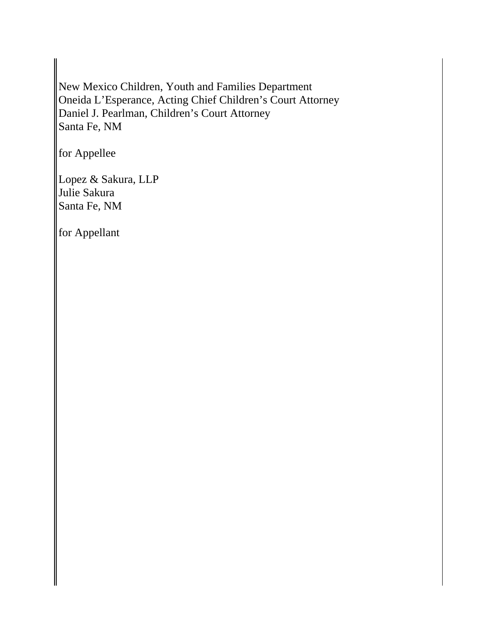New Mexico Children, Youth and Families Department Oneida L'Esperance, Acting Chief Children's Court Attorney Daniel J. Pearlman, Children's Court Attorney Santa Fe, NM

for Appellee

Lopez & Sakura, LLP Julie Sakura Santa Fe, NM

for Appellant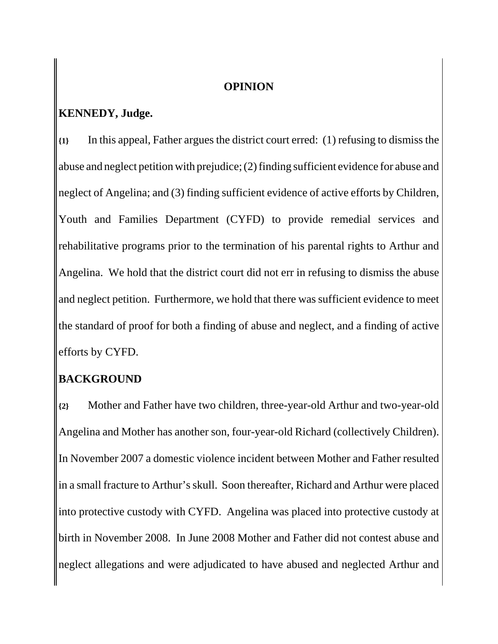#### **OPINION**

### **KENNEDY, Judge.**

**{1}** In this appeal, Father argues the district court erred: (1) refusing to dismiss the abuse and neglect petition with prejudice; (2) finding sufficient evidence for abuse and neglect of Angelina; and (3) finding sufficient evidence of active efforts by Children, Youth and Families Department (CYFD) to provide remedial services and rehabilitative programs prior to the termination of his parental rights to Arthur and Angelina. We hold that the district court did not err in refusing to dismiss the abuse and neglect petition. Furthermore, we hold that there was sufficient evidence to meet the standard of proof for both a finding of abuse and neglect, and a finding of active efforts by CYFD.

### **BACKGROUND**

**{2}** Mother and Father have two children, three-year-old Arthur and two-year-old Angelina and Mother has another son, four-year-old Richard (collectively Children). In November 2007 a domestic violence incident between Mother and Father resulted in a small fracture to Arthur's skull. Soon thereafter, Richard and Arthur were placed into protective custody with CYFD. Angelina was placed into protective custody at birth in November 2008. In June 2008 Mother and Father did not contest abuse and neglect allegations and were adjudicated to have abused and neglected Arthur and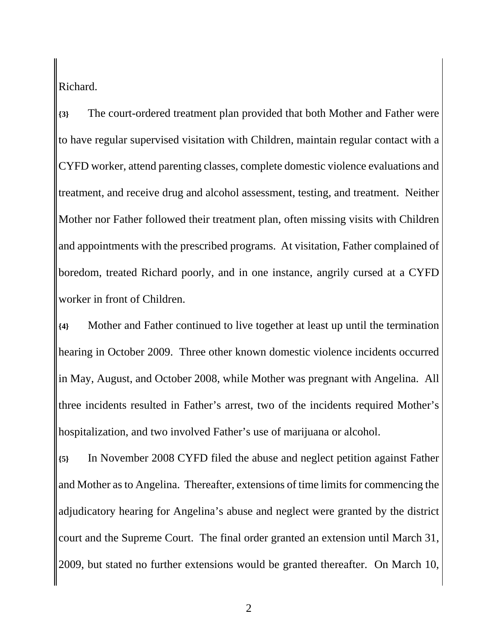Richard.

**{3}** The court-ordered treatment plan provided that both Mother and Father were to have regular supervised visitation with Children, maintain regular contact with a CYFD worker, attend parenting classes, complete domestic violence evaluations and treatment, and receive drug and alcohol assessment, testing, and treatment. Neither Mother nor Father followed their treatment plan, often missing visits with Children and appointments with the prescribed programs. At visitation, Father complained of boredom, treated Richard poorly, and in one instance, angrily cursed at a CYFD worker in front of Children.

**{4}** Mother and Father continued to live together at least up until the termination hearing in October 2009. Three other known domestic violence incidents occurred in May, August, and October 2008, while Mother was pregnant with Angelina. All three incidents resulted in Father's arrest, two of the incidents required Mother's hospitalization, and two involved Father's use of marijuana or alcohol.

**{5}** In November 2008 CYFD filed the abuse and neglect petition against Father and Mother as to Angelina. Thereafter, extensions of time limits for commencing the adjudicatory hearing for Angelina's abuse and neglect were granted by the district court and the Supreme Court. The final order granted an extension until March 31, 2009, but stated no further extensions would be granted thereafter. On March 10,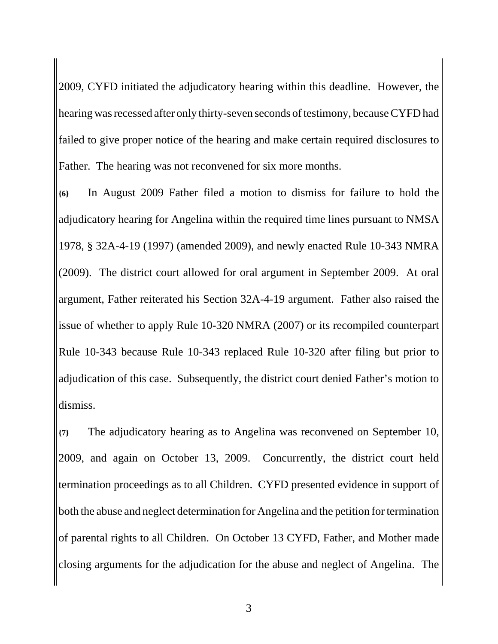2009, CYFD initiated the adjudicatory hearing within this deadline. However, the hearing was recessed after only thirty-seven seconds of testimony, because CYFD had failed to give proper notice of the hearing and make certain required disclosures to Father. The hearing was not reconvened for six more months.

**{6}** In August 2009 Father filed a motion to dismiss for failure to hold the adjudicatory hearing for Angelina within the required time lines pursuant to NMSA 1978, § 32A-4-19 (1997) (amended 2009), and newly enacted Rule 10-343 NMRA (2009). The district court allowed for oral argument in September 2009. At oral argument, Father reiterated his Section 32A-4-19 argument. Father also raised the issue of whether to apply Rule 10-320 NMRA (2007) or its recompiled counterpart Rule 10-343 because Rule 10-343 replaced Rule 10-320 after filing but prior to adjudication of this case. Subsequently, the district court denied Father's motion to dismiss.

**{7}** The adjudicatory hearing as to Angelina was reconvened on September 10, 2009, and again on October 13, 2009. Concurrently, the district court held termination proceedings as to all Children. CYFD presented evidence in support of both the abuse and neglect determination for Angelina and the petition for termination of parental rights to all Children. On October 13 CYFD, Father, and Mother made closing arguments for the adjudication for the abuse and neglect of Angelina. The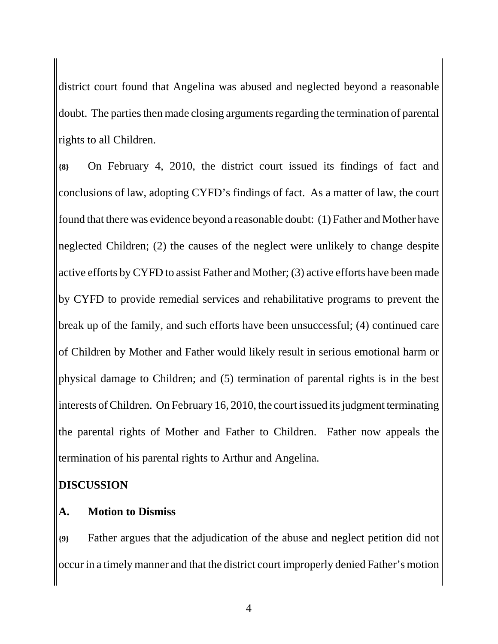district court found that Angelina was abused and neglected beyond a reasonable doubt. The parties then made closing arguments regarding the termination of parental rights to all Children.

**{8}** On February 4, 2010, the district court issued its findings of fact and conclusions of law, adopting CYFD's findings of fact. As a matter of law, the court found that there was evidence beyond a reasonable doubt: (1) Father and Mother have neglected Children; (2) the causes of the neglect were unlikely to change despite active efforts by CYFD to assist Father and Mother; (3) active efforts have been made by CYFD to provide remedial services and rehabilitative programs to prevent the break up of the family, and such efforts have been unsuccessful; (4) continued care of Children by Mother and Father would likely result in serious emotional harm or physical damage to Children; and (5) termination of parental rights is in the best interests of Children. On February 16, 2010, the court issued its judgment terminating the parental rights of Mother and Father to Children. Father now appeals the termination of his parental rights to Arthur and Angelina.

### **DISCUSSION**

### **A. Motion to Dismiss**

**{9}** Father argues that the adjudication of the abuse and neglect petition did not occur in a timely manner and that the district court improperly denied Father's motion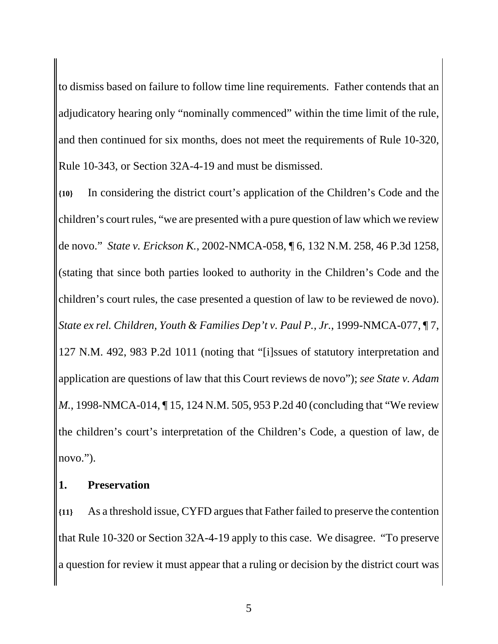to dismiss based on failure to follow time line requirements. Father contends that an adjudicatory hearing only "nominally commenced" within the time limit of the rule, and then continued for six months, does not meet the requirements of Rule 10-320, Rule 10-343, or Section 32A-4-19 and must be dismissed.

**{10}** In considering the district court's application of the Children's Code and the children's court rules, "we are presented with a pure question of law which we review de novo." *State v. Erickson K.*, 2002-NMCA-058, ¶ 6, 132 N.M. 258, 46 P.3d 1258, (stating that since both parties looked to authority in the Children's Code and the children's court rules, the case presented a question of law to be reviewed de novo). *State ex rel. Children, Youth & Families Dep't v. Paul P., Jr.*, 1999-NMCA-077, ¶ 7, 127 N.M. 492, 983 P.2d 1011 (noting that "[i]ssues of statutory interpretation and application are questions of law that this Court reviews de novo"); *see State v. Adam M.*, 1998-NMCA-014, 15, 124 N.M. 505, 953 P.2d 40 (concluding that "We review" the children's court's interpretation of the Children's Code, a question of law, de novo.").

### **1. Preservation**

**{11}** As a threshold issue, CYFD argues that Father failed to preserve the contention that Rule 10-320 or Section 32A-4-19 apply to this case. We disagree. "To preserve a question for review it must appear that a ruling or decision by the district court was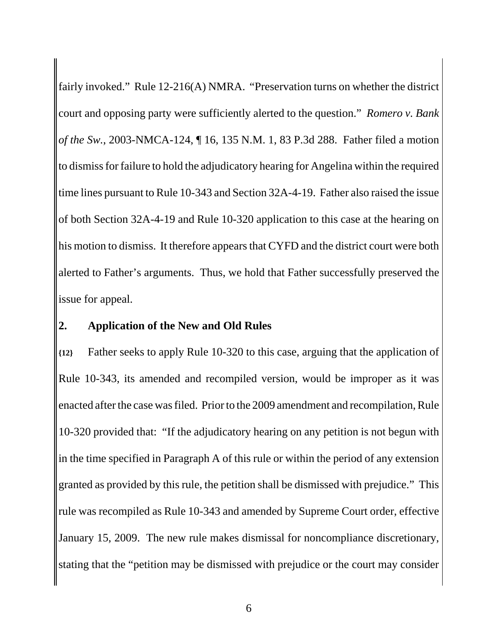fairly invoked." Rule 12-216(A) NMRA. "Preservation turns on whether the district court and opposing party were sufficiently alerted to the question." *Romero v. Bank of the Sw.*, 2003-NMCA-124, ¶ 16, 135 N.M. 1, 83 P.3d 288. Father filed a motion to dismiss for failure to hold the adjudicatory hearing for Angelina within the required time lines pursuant to Rule 10-343 and Section 32A-4-19. Father also raised the issue of both Section 32A-4-19 and Rule 10-320 application to this case at the hearing on his motion to dismiss. It therefore appears that CYFD and the district court were both alerted to Father's arguments. Thus, we hold that Father successfully preserved the issue for appeal.

#### **2. Application of the New and Old Rules**

**{12}** Father seeks to apply Rule 10-320 to this case, arguing that the application of Rule 10-343, its amended and recompiled version, would be improper as it was enacted after the case was filed. Prior to the 2009 amendment and recompilation, Rule 10-320 provided that: "If the adjudicatory hearing on any petition is not begun with in the time specified in Paragraph A of this rule or within the period of any extension granted as provided by this rule, the petition shall be dismissed with prejudice." This rule was recompiled as Rule 10-343 and amended by Supreme Court order, effective January 15, 2009. The new rule makes dismissal for noncompliance discretionary, stating that the "petition may be dismissed with prejudice or the court may consider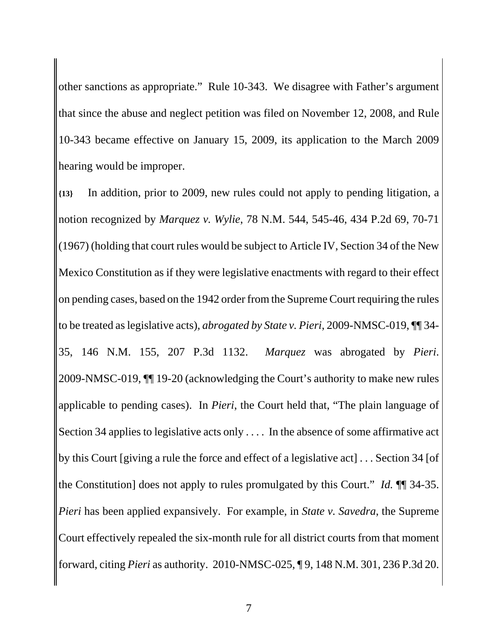other sanctions as appropriate." Rule 10-343. We disagree with Father's argument that since the abuse and neglect petition was filed on November 12, 2008, and Rule 10-343 became effective on January 15, 2009, its application to the March 2009 hearing would be improper.

**{13}** In addition, prior to 2009, new rules could not apply to pending litigation, a notion recognized by *Marquez v. Wylie*, 78 N.M. 544, 545-46, 434 P.2d 69, 70-71 (1967) (holding that court rules would be subject to Article IV, Section 34 of the New Mexico Constitution as if they were legislative enactments with regard to their effect on pending cases, based on the 1942 order from the Supreme Court requiring the rules to be treated as legislative acts), *abrogated by State v. Pieri*, 2009-NMSC-019, ¶¶ 34- 35, 146 N.M. 155, 207 P.3d 1132. *Marquez* was abrogated by *Pieri*. 2009-NMSC-019, ¶¶ 19-20 (acknowledging the Court's authority to make new rules applicable to pending cases). In *Pieri*, the Court held that, "The plain language of Section 34 applies to legislative acts only . . . . In the absence of some affirmative act by this Court [giving a rule the force and effect of a legislative act] . . . Section 34 [of the Constitution] does not apply to rules promulgated by this Court." *Id.* ¶¶ 34-35. *Pieri* has been applied expansively. For example, in *State v. Savedra*, the Supreme Court effectively repealed the six-month rule for all district courts from that moment forward, citing *Pieri* as authority. 2010-NMSC-025, ¶ 9, 148 N.M. 301, 236 P.3d 20.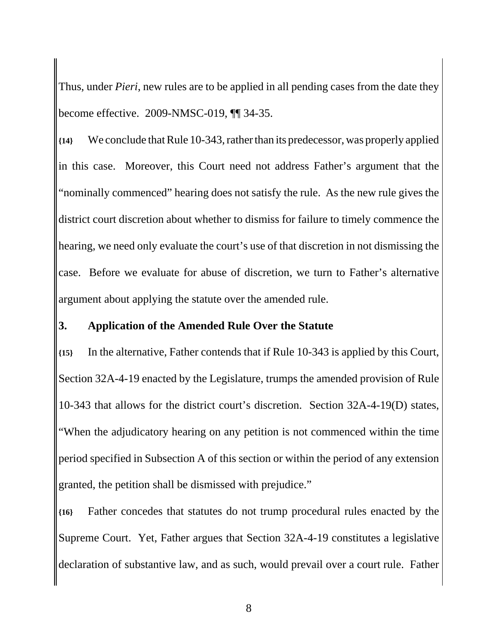Thus, under *Pieri*, new rules are to be applied in all pending cases from the date they become effective. 2009-NMSC-019, ¶¶ 34-35.

**{14}** We conclude that Rule 10-343, rather than its predecessor, was properly applied in this case. Moreover, this Court need not address Father's argument that the "nominally commenced" hearing does not satisfy the rule. As the new rule gives the district court discretion about whether to dismiss for failure to timely commence the hearing, we need only evaluate the court's use of that discretion in not dismissing the case. Before we evaluate for abuse of discretion, we turn to Father's alternative argument about applying the statute over the amended rule.

#### **3. Application of the Amended Rule Over the Statute**

**{15}** In the alternative, Father contends that if Rule 10-343 is applied by this Court, Section 32A-4-19 enacted by the Legislature, trumps the amended provision of Rule 10-343 that allows for the district court's discretion. Section 32A-4-19(D) states, "When the adjudicatory hearing on any petition is not commenced within the time period specified in Subsection A of this section or within the period of any extension granted, the petition shall be dismissed with prejudice."

**{16}** Father concedes that statutes do not trump procedural rules enacted by the Supreme Court. Yet, Father argues that Section 32A-4-19 constitutes a legislative declaration of substantive law, and as such, would prevail over a court rule. Father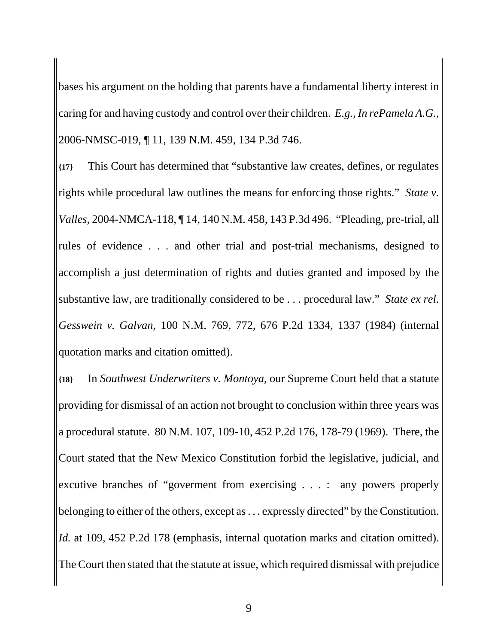bases his argument on the holding that parents have a fundamental liberty interest in caring for and having custody and control over their children. *E.g.*, *In rePamela A.G.*, 2006-NMSC-019, ¶ 11, 139 N.M. 459, 134 P.3d 746.

**{17}** This Court has determined that "substantive law creates, defines, or regulates rights while procedural law outlines the means for enforcing those rights." *State v. Valles*, 2004-NMCA-118, ¶ 14, 140 N.M. 458, 143 P.3d 496. "Pleading, pre-trial, all rules of evidence . . . and other trial and post-trial mechanisms, designed to accomplish a just determination of rights and duties granted and imposed by the substantive law, are traditionally considered to be . . . procedural law." *State ex rel. Gesswein v. Galvan*, 100 N.M. 769, 772, 676 P.2d 1334, 1337 (1984) (internal quotation marks and citation omitted).

**{18}** In *Southwest Underwriters v. Montoya*, our Supreme Court held that a statute providing for dismissal of an action not brought to conclusion within three years was a procedural statute. 80 N.M. 107, 109-10, 452 P.2d 176, 178-79 (1969). There, the Court stated that the New Mexico Constitution forbid the legislative, judicial, and excutive branches of "goverment from exercising . . . : any powers properly belonging to either of the others, except as . . . expressly directed" by the Constitution. *Id.* at 109, 452 P.2d 178 (emphasis, internal quotation marks and citation omitted). The Court then stated that the statute at issue, which required dismissal with prejudice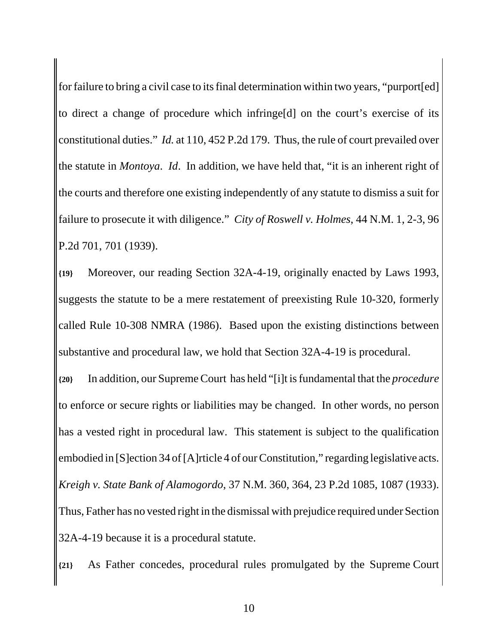for failure to bring a civil case to its final determination within two years, "purport[ed] to direct a change of procedure which infringe[d] on the court's exercise of its constitutional duties." *Id.* at 110, 452 P.2d 179. Thus, the rule of court prevailed over the statute in *Montoya*. *Id*. In addition, we have held that, "it is an inherent right of the courts and therefore one existing independently of any statute to dismiss a suit for failure to prosecute it with diligence." *City of Roswell v. Holmes*, 44 N.M. 1, 2-3, 96 P.2d 701, 701 (1939).

**{19}** Moreover, our reading Section 32A-4-19, originally enacted by Laws 1993, suggests the statute to be a mere restatement of preexisting Rule 10-320, formerly called Rule 10-308 NMRA (1986). Based upon the existing distinctions between substantive and procedural law, we hold that Section 32A-4-19 is procedural.

**{20}** In addition, our Supreme Court has held "[i]t is fundamental that the *procedure* to enforce or secure rights or liabilities may be changed. In other words, no person has a vested right in procedural law. This statement is subject to the qualification embodied in [S]ection 34 of [A]rticle 4 of our Constitution," regarding legislative acts. *Kreigh v. State Bank of Alamogordo*, 37 N.M. 360, 364, 23 P.2d 1085, 1087 (1933). Thus, Father has no vested right in the dismissal with prejudice required under Section 32A-4-19 because it is a procedural statute.

**{21}** As Father concedes, procedural rules promulgated by the Supreme Court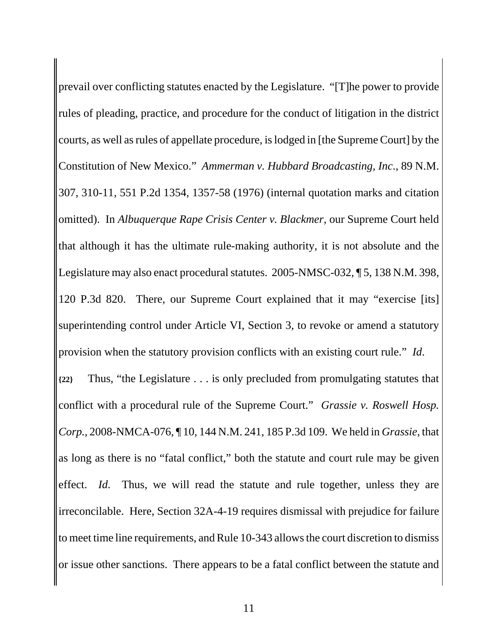prevail over conflicting statutes enacted by the Legislature. "[T]he power to provide rules of pleading, practice, and procedure for the conduct of litigation in the district courts, as well as rules of appellate procedure, is lodged in [the Supreme Court] by the Constitution of New Mexico." *Ammerman v. Hubbard Broadcasting, Inc*., 89 N.M. 307, 310-11, 551 P.2d 1354, 1357-58 (1976) (internal quotation marks and citation omitted). In *Albuquerque Rape Crisis Center v. Blackmer*, our Supreme Court held that although it has the ultimate rule-making authority, it is not absolute and the Legislature may also enact procedural statutes. 2005-NMSC-032, ¶ 5, 138 N.M. 398, 120 P.3d 820. There, our Supreme Court explained that it may "exercise [its] superintending control under Article VI, Section 3, to revoke or amend a statutory provision when the statutory provision conflicts with an existing court rule." *Id*. **{22}** Thus, "the Legislature . . . is only precluded from promulgating statutes that conflict with a procedural rule of the Supreme Court." *Grassie v. Roswell Hosp. Corp.*, 2008-NMCA-076, ¶ 10, 144 N.M. 241, 185 P.3d 109. We held in *Grassie*, that as long as there is no "fatal conflict," both the statute and court rule may be given effect. *Id.* Thus, we will read the statute and rule together, unless they are irreconcilable. Here, Section 32A-4-19 requires dismissal with prejudice for failure to meet time line requirements, and Rule 10-343 allows the court discretion to dismiss or issue other sanctions. There appears to be a fatal conflict between the statute and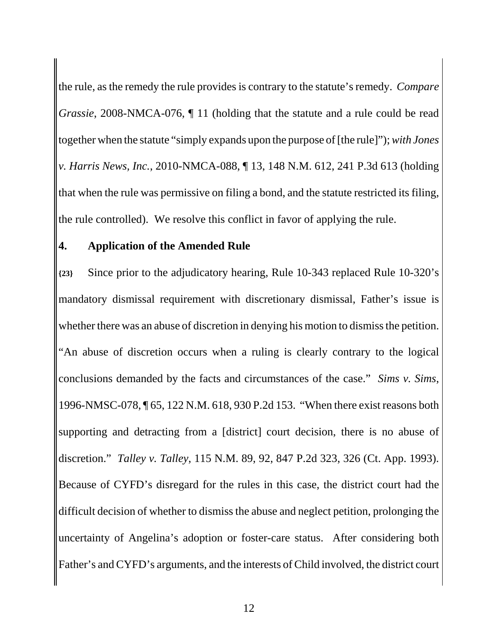the rule, as the remedy the rule provides is contrary to the statute's remedy. *Compare Grassie*, 2008-NMCA-076,  $\P$  11 (holding that the statute and a rule could be read together when the statute "simply expands upon the purpose of [the rule]"); *with Jones v. Harris News, Inc.*, 2010-NMCA-088, ¶ 13, 148 N.M. 612, 241 P.3d 613 (holding that when the rule was permissive on filing a bond, and the statute restricted its filing, the rule controlled). We resolve this conflict in favor of applying the rule.

#### **4. Application of the Amended Rule**

**{23}** Since prior to the adjudicatory hearing, Rule 10-343 replaced Rule 10-320's mandatory dismissal requirement with discretionary dismissal, Father's issue is whether there was an abuse of discretion in denying his motion to dismiss the petition. "An abuse of discretion occurs when a ruling is clearly contrary to the logical conclusions demanded by the facts and circumstances of the case." *Sims v. Sims*, 1996-NMSC-078, ¶ 65, 122 N.M. 618, 930 P.2d 153. "When there exist reasons both supporting and detracting from a [district] court decision, there is no abuse of discretion." *Talley v. Talley*, 115 N.M. 89, 92, 847 P.2d 323, 326 (Ct. App. 1993). Because of CYFD's disregard for the rules in this case, the district court had the difficult decision of whether to dismiss the abuse and neglect petition, prolonging the uncertainty of Angelina's adoption or foster-care status. After considering both Father's and CYFD's arguments, and the interests of Child involved, the district court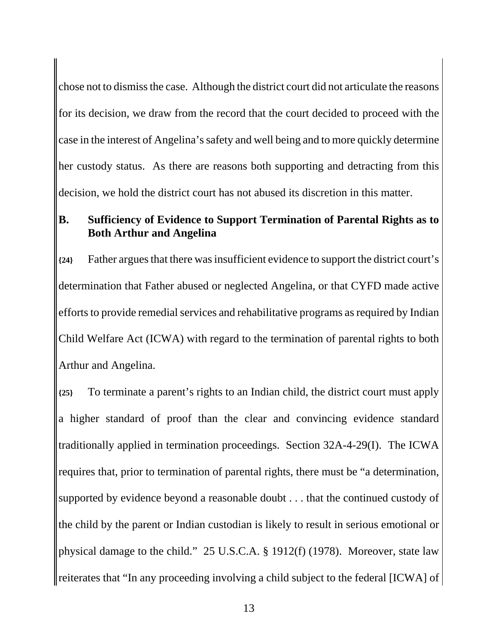chose not to dismiss the case. Although the district court did not articulate the reasons for its decision, we draw from the record that the court decided to proceed with the case in the interest of Angelina's safety and well being and to more quickly determine her custody status. As there are reasons both supporting and detracting from this decision, we hold the district court has not abused its discretion in this matter.

### **B. Sufficiency of Evidence to Support Termination of Parental Rights as to Both Arthur and Angelina**

**{24}** Father argues that there was insufficient evidence to support the district court's determination that Father abused or neglected Angelina, or that CYFD made active efforts to provide remedial services and rehabilitative programs as required by Indian Child Welfare Act (ICWA) with regard to the termination of parental rights to both Arthur and Angelina.

**{25}** To terminate a parent's rights to an Indian child, the district court must apply a higher standard of proof than the clear and convincing evidence standard traditionally applied in termination proceedings. Section 32A-4-29(I). The ICWA requires that, prior to termination of parental rights, there must be "a determination, supported by evidence beyond a reasonable doubt . . . that the continued custody of the child by the parent or Indian custodian is likely to result in serious emotional or physical damage to the child." 25 U.S.C.A. § 1912(f) (1978). Moreover, state law reiterates that "In any proceeding involving a child subject to the federal [ICWA] of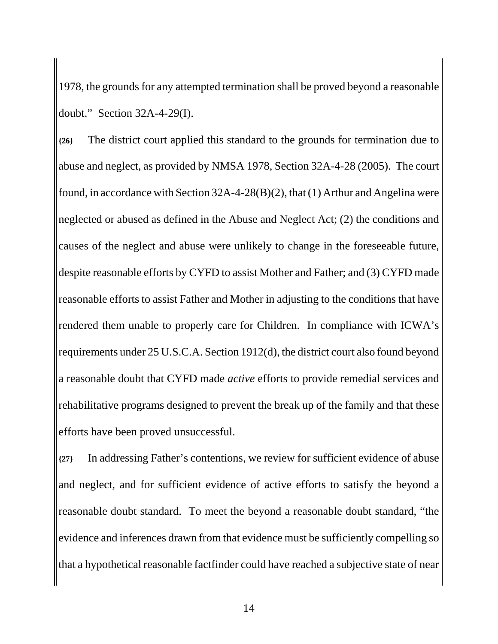1978, the grounds for any attempted termination shall be proved beyond a reasonable doubt." Section 32A-4-29(I).

**{26}** The district court applied this standard to the grounds for termination due to abuse and neglect, as provided by NMSA 1978, Section 32A-4-28 (2005). The court found, in accordance with Section 32A-4-28(B)(2), that (1) Arthur and Angelina were neglected or abused as defined in the Abuse and Neglect Act; (2) the conditions and causes of the neglect and abuse were unlikely to change in the foreseeable future, despite reasonable efforts by CYFD to assist Mother and Father; and (3) CYFD made reasonable efforts to assist Father and Mother in adjusting to the conditions that have rendered them unable to properly care for Children. In compliance with ICWA's requirements under 25 U.S.C.A. Section 1912(d), the district court also found beyond a reasonable doubt that CYFD made *active* efforts to provide remedial services and rehabilitative programs designed to prevent the break up of the family and that these efforts have been proved unsuccessful.

**{27}** In addressing Father's contentions, we review for sufficient evidence of abuse and neglect, and for sufficient evidence of active efforts to satisfy the beyond a reasonable doubt standard. To meet the beyond a reasonable doubt standard, "the evidence and inferences drawn from that evidence must be sufficiently compelling so that a hypothetical reasonable factfinder could have reached a subjective state of near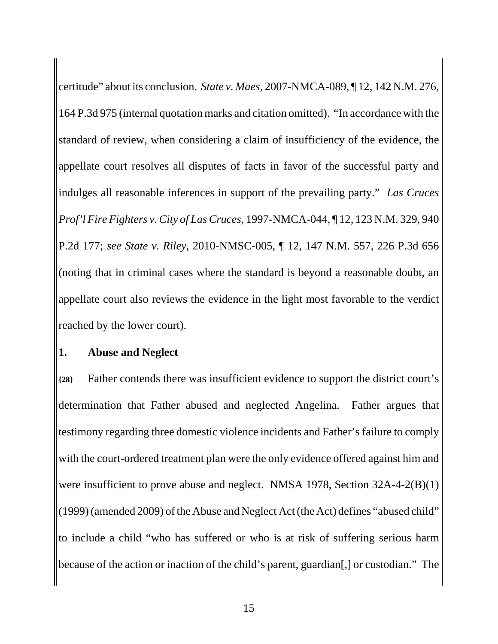certitude" about its conclusion. *State v. Maes*, 2007-NMCA-089, ¶ 12, 142 N.M. 276, 164 P.3d 975 (internal quotation marks and citation omitted). "In accordance with the standard of review, when considering a claim of insufficiency of the evidence, the appellate court resolves all disputes of facts in favor of the successful party and indulges all reasonable inferences in support of the prevailing party." *Las Cruces Prof'l Fire Fighters v. City of Las Cruces*, 1997-NMCA-044, ¶ 12, 123 N.M. 329, 940 P.2d 177; *see State v. Riley*, 2010-NMSC-005, ¶ 12, 147 N.M. 557, 226 P.3d 656 (noting that in criminal cases where the standard is beyond a reasonable doubt, an appellate court also reviews the evidence in the light most favorable to the verdict reached by the lower court).

#### **1. Abuse and Neglect**

**{28}** Father contends there was insufficient evidence to support the district court's determination that Father abused and neglected Angelina. Father argues that testimony regarding three domestic violence incidents and Father's failure to comply with the court-ordered treatment plan were the only evidence offered against him and were insufficient to prove abuse and neglect. NMSA 1978, Section 32A-4-2(B)(1) (1999) (amended 2009) of the Abuse and Neglect Act (the Act) defines "abused child" to include a child "who has suffered or who is at risk of suffering serious harm because of the action or inaction of the child's parent, guardian[,] or custodian." The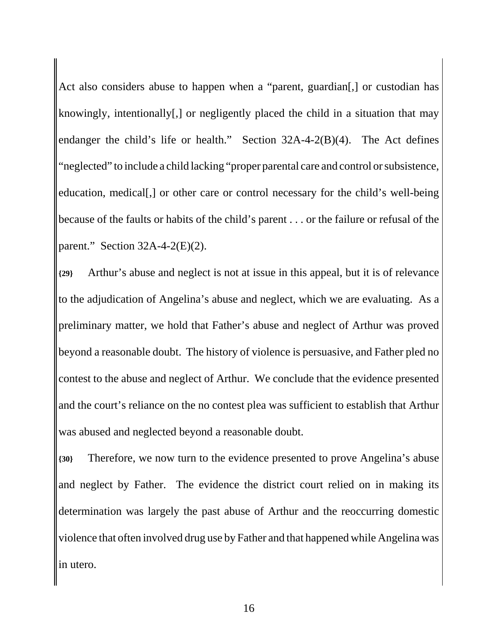Act also considers abuse to happen when a "parent, guardian[,] or custodian has knowingly, intentionally[,] or negligently placed the child in a situation that may endanger the child's life or health." Section 32A-4-2(B)(4). The Act defines "neglected" to include a child lacking "proper parental care and control or subsistence, education, medical[,] or other care or control necessary for the child's well-being because of the faults or habits of the child's parent . . . or the failure or refusal of the parent." Section  $32A-4-2(E)(2)$ .

**{29}** Arthur's abuse and neglect is not at issue in this appeal, but it is of relevance to the adjudication of Angelina's abuse and neglect, which we are evaluating. As a preliminary matter, we hold that Father's abuse and neglect of Arthur was proved beyond a reasonable doubt. The history of violence is persuasive, and Father pled no contest to the abuse and neglect of Arthur. We conclude that the evidence presented and the court's reliance on the no contest plea was sufficient to establish that Arthur was abused and neglected beyond a reasonable doubt.

**{30}** Therefore, we now turn to the evidence presented to prove Angelina's abuse and neglect by Father. The evidence the district court relied on in making its determination was largely the past abuse of Arthur and the reoccurring domestic violence that often involved drug use by Father and that happened while Angelina was in utero.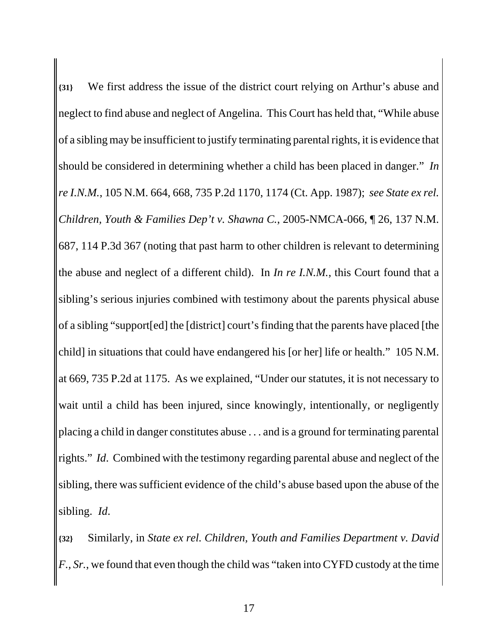**{31}** We first address the issue of the district court relying on Arthur's abuse and neglect to find abuse and neglect of Angelina. This Court has held that, "While abuse of a sibling may be insufficient to justify terminating parental rights, it is evidence that should be considered in determining whether a child has been placed in danger." *In re I.N.M.*, 105 N.M. 664, 668, 735 P.2d 1170, 1174 (Ct. App. 1987); *see State ex rel. Children, Youth & Families Dep't v. Shawna C.*, 2005-NMCA-066, ¶ 26, 137 N.M. 687, 114 P.3d 367 (noting that past harm to other children is relevant to determining the abuse and neglect of a different child). In *In re I.N.M.*, this Court found that a sibling's serious injuries combined with testimony about the parents physical abuse of a sibling "support[ed] the [district] court's finding that the parents have placed [the child] in situations that could have endangered his [or her] life or health." 105 N.M. at 669, 735 P.2d at 1175. As we explained, "Under our statutes, it is not necessary to wait until a child has been injured, since knowingly, intentionally, or negligently placing a child in danger constitutes abuse . . . and is a ground for terminating parental rights." *Id*. Combined with the testimony regarding parental abuse and neglect of the sibling, there was sufficient evidence of the child's abuse based upon the abuse of the sibling. *Id*.

**{32}** Similarly, in *State ex rel. Children, Youth and Families Department v. David F., Sr.*, we found that even though the child was "taken into CYFD custody at the time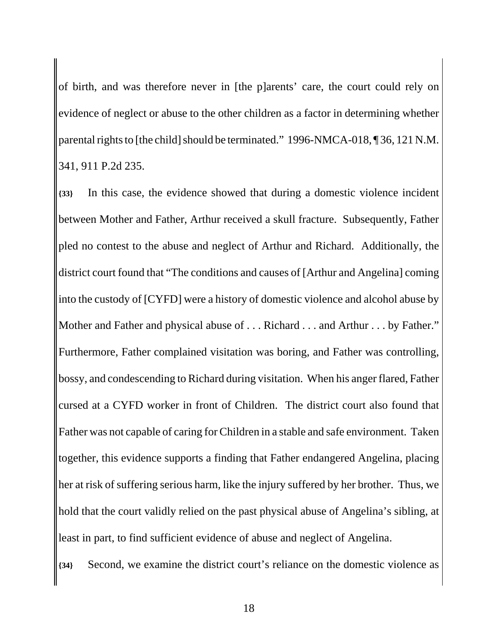of birth, and was therefore never in [the p]arents' care, the court could rely on evidence of neglect or abuse to the other children as a factor in determining whether parental rights to [the child] should be terminated." 1996-NMCA-018, ¶ 36, 121 N.M. 341, 911 P.2d 235.

**{33}** In this case, the evidence showed that during a domestic violence incident between Mother and Father, Arthur received a skull fracture. Subsequently, Father pled no contest to the abuse and neglect of Arthur and Richard. Additionally, the district court found that "The conditions and causes of [Arthur and Angelina] coming into the custody of [CYFD] were a history of domestic violence and alcohol abuse by Mother and Father and physical abuse of . . . Richard . . . and Arthur . . . by Father." Furthermore, Father complained visitation was boring, and Father was controlling, bossy, and condescending to Richard during visitation. When his anger flared, Father cursed at a CYFD worker in front of Children. The district court also found that Father was not capable of caring for Children in a stable and safe environment. Taken together, this evidence supports a finding that Father endangered Angelina, placing her at risk of suffering serious harm, like the injury suffered by her brother. Thus, we hold that the court validly relied on the past physical abuse of Angelina's sibling, at least in part, to find sufficient evidence of abuse and neglect of Angelina.

**{34}** Second, we examine the district court's reliance on the domestic violence as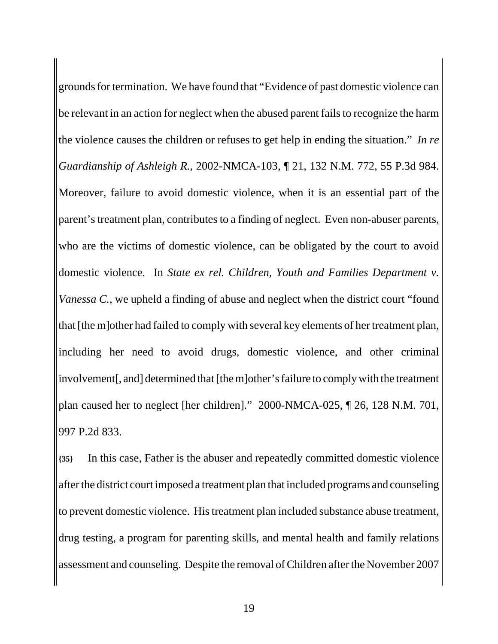grounds for termination. We have found that "Evidence of past domestic violence can be relevant in an action for neglect when the abused parent fails to recognize the harm the violence causes the children or refuses to get help in ending the situation." *In re Guardianship of Ashleigh R.*, 2002-NMCA-103, ¶ 21, 132 N.M. 772, 55 P.3d 984. Moreover, failure to avoid domestic violence, when it is an essential part of the parent's treatment plan, contributes to a finding of neglect. Even non-abuser parents, who are the victims of domestic violence, can be obligated by the court to avoid domestic violence. In *State ex rel. Children, Youth and Families Department v. Vanessa C.*, we upheld a finding of abuse and neglect when the district court "found that [the m]other had failed to comply with several key elements of her treatment plan, including her need to avoid drugs, domestic violence, and other criminal involvement[, and] determined that [the m]other's failure to comply with the treatment plan caused her to neglect [her children]." 2000-NMCA-025, ¶ 26, 128 N.M. 701, 997 P.2d 833.

**{35}** In this case, Father is the abuser and repeatedly committed domestic violence after the district court imposed a treatment plan that included programs and counseling to prevent domestic violence. His treatment plan included substance abuse treatment, drug testing, a program for parenting skills, and mental health and family relations assessment and counseling. Despite the removal of Children after the November 2007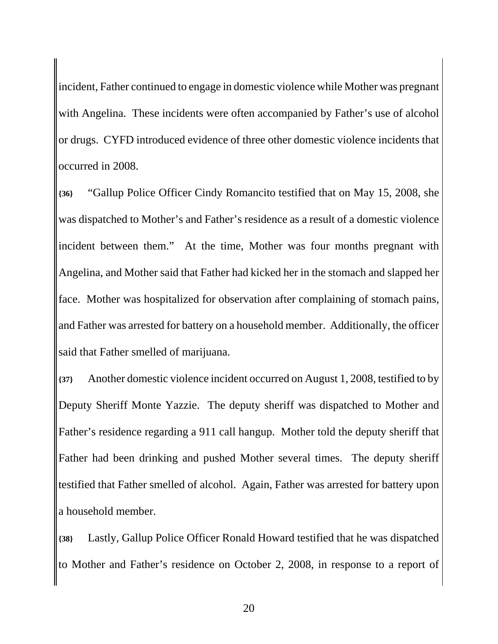incident, Father continued to engage in domestic violence while Mother was pregnant with Angelina. These incidents were often accompanied by Father's use of alcohol or drugs. CYFD introduced evidence of three other domestic violence incidents that occurred in 2008.

**{36}** "Gallup Police Officer Cindy Romancito testified that on May 15, 2008, she was dispatched to Mother's and Father's residence as a result of a domestic violence incident between them." At the time, Mother was four months pregnant with Angelina, and Mother said that Father had kicked her in the stomach and slapped her face. Mother was hospitalized for observation after complaining of stomach pains, and Father was arrested for battery on a household member. Additionally, the officer said that Father smelled of marijuana.

**{37}** Another domestic violence incident occurred on August 1, 2008, testified to by Deputy Sheriff Monte Yazzie. The deputy sheriff was dispatched to Mother and Father's residence regarding a 911 call hangup. Mother told the deputy sheriff that Father had been drinking and pushed Mother several times. The deputy sheriff testified that Father smelled of alcohol. Again, Father was arrested for battery upon a household member.

**{38}** Lastly, Gallup Police Officer Ronald Howard testified that he was dispatched to Mother and Father's residence on October 2, 2008, in response to a report of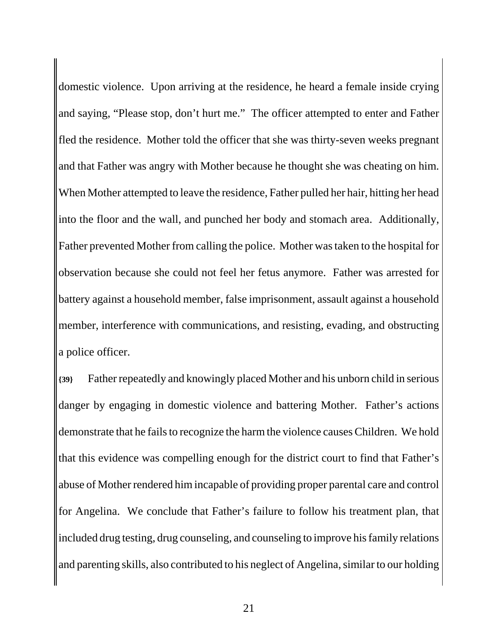domestic violence. Upon arriving at the residence, he heard a female inside crying and saying, "Please stop, don't hurt me." The officer attempted to enter and Father fled the residence. Mother told the officer that she was thirty-seven weeks pregnant and that Father was angry with Mother because he thought she was cheating on him. When Mother attempted to leave the residence, Father pulled her hair, hitting her head into the floor and the wall, and punched her body and stomach area. Additionally, Father prevented Mother from calling the police. Mother was taken to the hospital for observation because she could not feel her fetus anymore. Father was arrested for battery against a household member, false imprisonment, assault against a household member, interference with communications, and resisting, evading, and obstructing a police officer.

**{39}** Father repeatedly and knowingly placed Mother and his unborn child in serious danger by engaging in domestic violence and battering Mother. Father's actions demonstrate that he fails to recognize the harm the violence causes Children. We hold that this evidence was compelling enough for the district court to find that Father's abuse of Mother rendered him incapable of providing proper parental care and control for Angelina. We conclude that Father's failure to follow his treatment plan, that included drug testing, drug counseling, and counseling to improve his family relations and parenting skills, also contributed to his neglect of Angelina, similar to our holding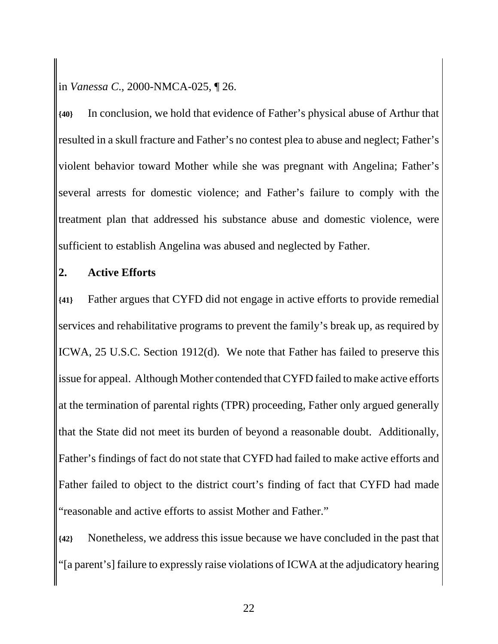in *Vanessa C*., 2000-NMCA-025, ¶ 26.

**{40}** In conclusion, we hold that evidence of Father's physical abuse of Arthur that resulted in a skull fracture and Father's no contest plea to abuse and neglect; Father's violent behavior toward Mother while she was pregnant with Angelina; Father's several arrests for domestic violence; and Father's failure to comply with the treatment plan that addressed his substance abuse and domestic violence, were sufficient to establish Angelina was abused and neglected by Father.

#### **2. Active Efforts**

**{41}** Father argues that CYFD did not engage in active efforts to provide remedial services and rehabilitative programs to prevent the family's break up, as required by ICWA, 25 U.S.C. Section 1912(d). We note that Father has failed to preserve this issue for appeal. Although Mother contended that CYFD failed to make active efforts at the termination of parental rights (TPR) proceeding, Father only argued generally that the State did not meet its burden of beyond a reasonable doubt. Additionally, Father's findings of fact do not state that CYFD had failed to make active efforts and Father failed to object to the district court's finding of fact that CYFD had made "reasonable and active efforts to assist Mother and Father."

**{42}** Nonetheless, we address this issue because we have concluded in the past that "[a parent's] failure to expressly raise violations of ICWA at the adjudicatory hearing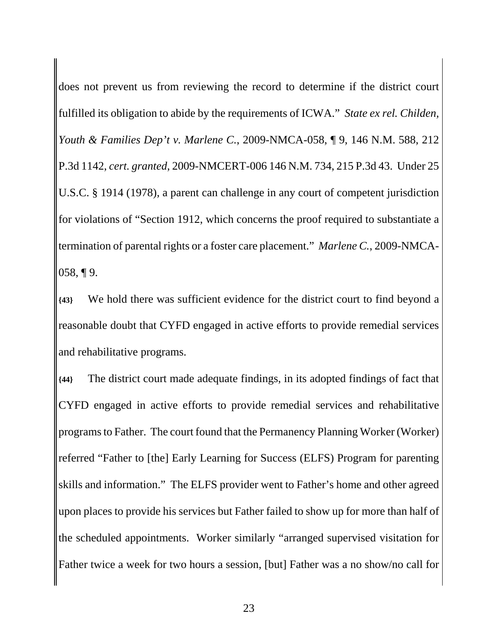does not prevent us from reviewing the record to determine if the district court fulfilled its obligation to abide by the requirements of ICWA." *State ex rel. Childen, Youth & Families Dep't v. Marlene C.*, 2009-NMCA-058, ¶ 9, 146 N.M. 588, 212 P.3d 1142, *cert. granted*, 2009-NMCERT-006 146 N.M. 734, 215 P.3d 43. Under 25 U.S.C. § 1914 (1978), a parent can challenge in any court of competent jurisdiction for violations of "Section 1912, which concerns the proof required to substantiate a termination of parental rights or a foster care placement." *Marlene C.*, 2009-NMCA-058, ¶ 9.

**{43}** We hold there was sufficient evidence for the district court to find beyond a reasonable doubt that CYFD engaged in active efforts to provide remedial services and rehabilitative programs.

**{44}** The district court made adequate findings, in its adopted findings of fact that CYFD engaged in active efforts to provide remedial services and rehabilitative programs to Father. The court found that the Permanency Planning Worker (Worker) referred "Father to [the] Early Learning for Success (ELFS) Program for parenting skills and information." The ELFS provider went to Father's home and other agreed upon places to provide his services but Father failed to show up for more than half of the scheduled appointments. Worker similarly "arranged supervised visitation for Father twice a week for two hours a session, [but] Father was a no show/no call for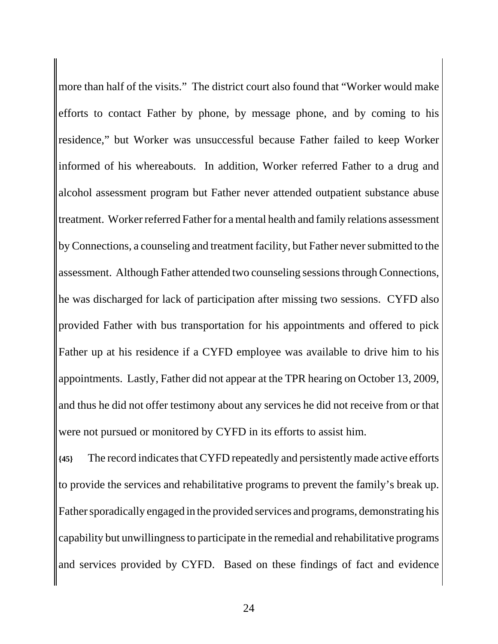more than half of the visits." The district court also found that "Worker would make efforts to contact Father by phone, by message phone, and by coming to his residence," but Worker was unsuccessful because Father failed to keep Worker informed of his whereabouts. In addition, Worker referred Father to a drug and alcohol assessment program but Father never attended outpatient substance abuse treatment. Worker referred Father for a mental health and family relations assessment by Connections, a counseling and treatment facility, but Father never submitted to the assessment. Although Father attended two counseling sessions through Connections, he was discharged for lack of participation after missing two sessions. CYFD also provided Father with bus transportation for his appointments and offered to pick Father up at his residence if a CYFD employee was available to drive him to his appointments. Lastly, Father did not appear at the TPR hearing on October 13, 2009, and thus he did not offer testimony about any services he did not receive from or that were not pursued or monitored by CYFD in its efforts to assist him.

**{45}** The record indicates that CYFD repeatedly and persistently made active efforts to provide the services and rehabilitative programs to prevent the family's break up. Father sporadically engaged in the provided services and programs, demonstrating his capability but unwillingness to participate in the remedial and rehabilitative programs and services provided by CYFD. Based on these findings of fact and evidence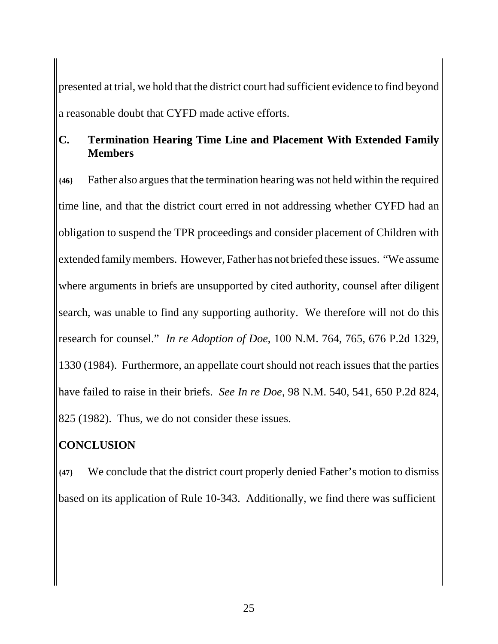presented at trial, we hold that the district court had sufficient evidence to find beyond a reasonable doubt that CYFD made active efforts.

### **C. Termination Hearing Time Line and Placement With Extended Family Members**

**{46}** Father also argues that the termination hearing was not held within the required time line, and that the district court erred in not addressing whether CYFD had an obligation to suspend the TPR proceedings and consider placement of Children with extended family members. However, Father has not briefed these issues. "We assume where arguments in briefs are unsupported by cited authority, counsel after diligent search, was unable to find any supporting authority. We therefore will not do this research for counsel." *In re Adoption of Doe*, 100 N.M. 764, 765, 676 P.2d 1329, 1330 (1984). Furthermore, an appellate court should not reach issues that the parties have failed to raise in their briefs. *See In re Doe*, 98 N.M. 540, 541, 650 P.2d 824, 825 (1982). Thus, we do not consider these issues.

# **CONCLUSION**

**{47}** We conclude that the district court properly denied Father's motion to dismiss based on its application of Rule 10-343. Additionally, we find there was sufficient